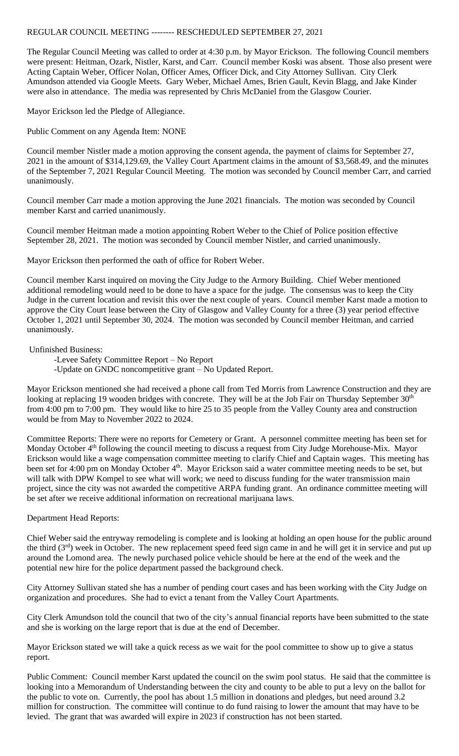## REGULAR COUNCIL MEETING -------- RESCHEDULED SEPTEMBER 27, 2021

The Regular Council Meeting was called to order at 4:30 p.m. by Mayor Erickson. The following Council members were present: Heitman, Ozark, Nistler, Karst, and Carr. Council member Koski was absent. Those also present were Acting Captain Weber, Officer Nolan, Officer Ames, Officer Dick, and City Attorney Sullivan. City Clerk Amundson attended via Google Meets. Gary Weber, Michael Ames, Brien Gault, Kevin Blagg, and Jake Kinder were also in attendance. The media was represented by Chris McDaniel from the Glasgow Courier.

Mayor Erickson led the Pledge of Allegiance.

Public Comment on any Agenda Item: NONE

Council member Nistler made a motion approving the consent agenda, the payment of claims for September 27, 2021 in the amount of \$314,129.69, the Valley Court Apartment claims in the amount of \$3,568.49, and the minutes of the September 7, 2021 Regular Council Meeting. The motion was seconded by Council member Carr, and carried unanimously.

Council member Carr made a motion approving the June 2021 financials. The motion was seconded by Council member Karst and carried unanimously.

Council member Heitman made a motion appointing Robert Weber to the Chief of Police position effective September 28, 2021. The motion was seconded by Council member Nistler, and carried unanimously.

Mayor Erickson then performed the oath of office for Robert Weber.

Council member Karst inquired on moving the City Judge to the Armory Building. Chief Weber mentioned additional remodeling would need to be done to have a space for the judge. The consensus was to keep the City Judge in the current location and revisit this over the next couple of years. Council member Karst made a motion to approve the City Court lease between the City of Glasgow and Valley County for a three (3) year period effective October 1, 2021 until September 30, 2024. The motion was seconded by Council member Heitman, and carried unanimously.

Unfinished Business:

-Levee Safety Committee Report – No Report -Update on GNDC noncompetitive grant – No Updated Report.

Mayor Erickson mentioned she had received a phone call from Ted Morris from Lawrence Construction and they are looking at replacing 19 wooden bridges with concrete. They will be at the Job Fair on Thursday September 30<sup>th</sup> from 4:00 pm to 7:00 pm. They would like to hire 25 to 35 people from the Valley County area and construction would be from May to November 2022 to 2024.

Committee Reports: There were no reports for Cemetery or Grant. A personnel committee meeting has been set for Monday October 4<sup>th</sup> following the council meeting to discuss a request from City Judge Morehouse-Mix. Mayor Erickson would like a wage compensation committee meeting to clarify Chief and Captain wages. This meeting has been set for 4:00 pm on Monday October 4<sup>th</sup>. Mayor Erickson said a water committee meeting needs to be set, but will talk with DPW Kompel to see what will work; we need to discuss funding for the water transmission main project, since the city was not awarded the competitive ARPA funding grant. An ordinance committee meeting will be set after we receive additional information on recreational marijuana laws.

Department Head Reports:

Chief Weber said the entryway remodeling is complete and is looking at holding an open house for the public around the third  $(3<sup>rd</sup>)$  week in October. The new replacement speed feed sign came in and he will get it in service and put up around the Lomond area. The newly purchased police vehicle should be here at the end of the week and the potential new hire for the police department passed the background check.

City Attorney Sullivan stated she has a number of pending court cases and has been working with the City Judge on organization and procedures. She had to evict a tenant from the Valley Court Apartments.

City Clerk Amundson told the council that two of the city's annual financial reports have been submitted to the state and she is working on the large report that is due at the end of December.

Mayor Erickson stated we will take a quick recess as we wait for the pool committee to show up to give a status report.

Public Comment: Council member Karst updated the council on the swim pool status. He said that the committee is looking into a Memorandum of Understanding between the city and county to be able to put a levy on the ballot for the public to vote on. Currently, the pool has about 1.5 million in donations and pledges, but need around 3.2 million for construction. The committee will continue to do fund raising to lower the amount that may have to be levied. The grant that was awarded will expire in 2023 if construction has not been started.